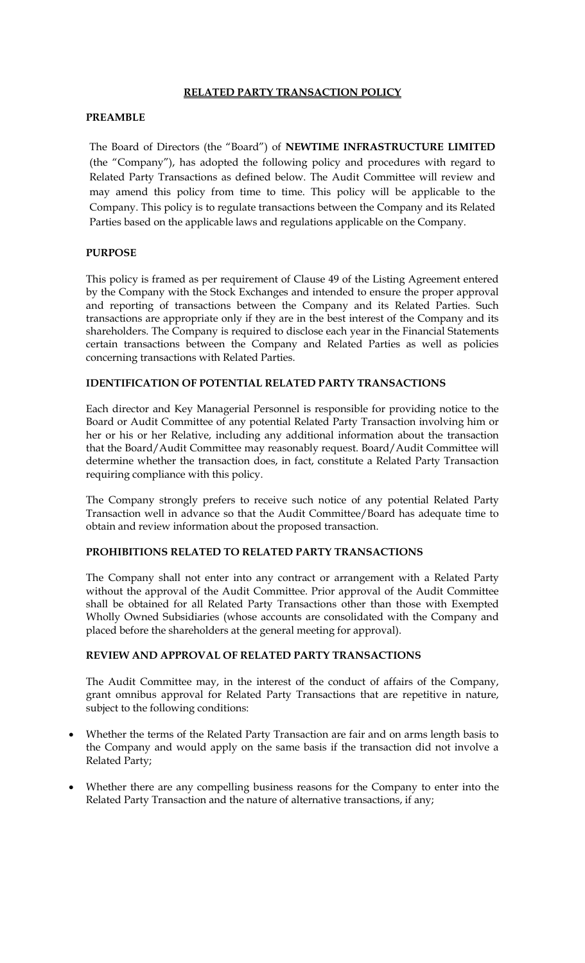# **RELATED PARTY TRANSACTION POLICY**

# **PREAMBLE**

The Board of Directors (the "Board") of **NEWTIME INFRASTRUCTURE LIMITED** (the "Company"), has adopted the following policy and procedures with regard to Related Party Transactions as defined below. The Audit Committee will review and may amend this policy from time to time. This policy will be applicable to the Company. This policy is to regulate transactions between the Company and its Related Parties based on the applicable laws and regulations applicable on the Company.

### **PURPOSE**

This policy is framed as per requirement of Clause 49 of the Listing Agreement entered by the Company with the Stock Exchanges and intended to ensure the proper approval and reporting of transactions between the Company and its Related Parties. Such transactions are appropriate only if they are in the best interest of the Company and its shareholders. The Company is required to disclose each year in the Financial Statements certain transactions between the Company and Related Parties as well as policies concerning transactions with Related Parties.

# **IDENTIFICATION OF POTENTIAL RELATED PARTY TRANSACTIONS**

Each director and Key Managerial Personnel is responsible for providing notice to the Board or Audit Committee of any potential Related Party Transaction involving him or her or his or her Relative, including any additional information about the transaction that the Board/Audit Committee may reasonably request. Board/Audit Committee will determine whether the transaction does, in fact, constitute a Related Party Transaction requiring compliance with this policy.

The Company strongly prefers to receive such notice of any potential Related Party Transaction well in advance so that the Audit Committee/Board has adequate time to obtain and review information about the proposed transaction.

### **PROHIBITIONS RELATED TO RELATED PARTY TRANSACTIONS**

The Company shall not enter into any contract or arrangement with a Related Party without the approval of the Audit Committee. Prior approval of the Audit Committee shall be obtained for all Related Party Transactions other than those with Exempted Wholly Owned Subsidiaries (whose accounts are consolidated with the Company and placed before the shareholders at the general meeting for approval).

# **REVIEW AND APPROVAL OF RELATED PARTY TRANSACTIONS**

The Audit Committee may, in the interest of the conduct of affairs of the Company, grant omnibus approval for Related Party Transactions that are repetitive in nature, subject to the following conditions:

- Whether the terms of the Related Party Transaction are fair and on arms length basis to the Company and would apply on the same basis if the transaction did not involve a Related Party;
- Whether there are any compelling business reasons for the Company to enter into the Related Party Transaction and the nature of alternative transactions, if any;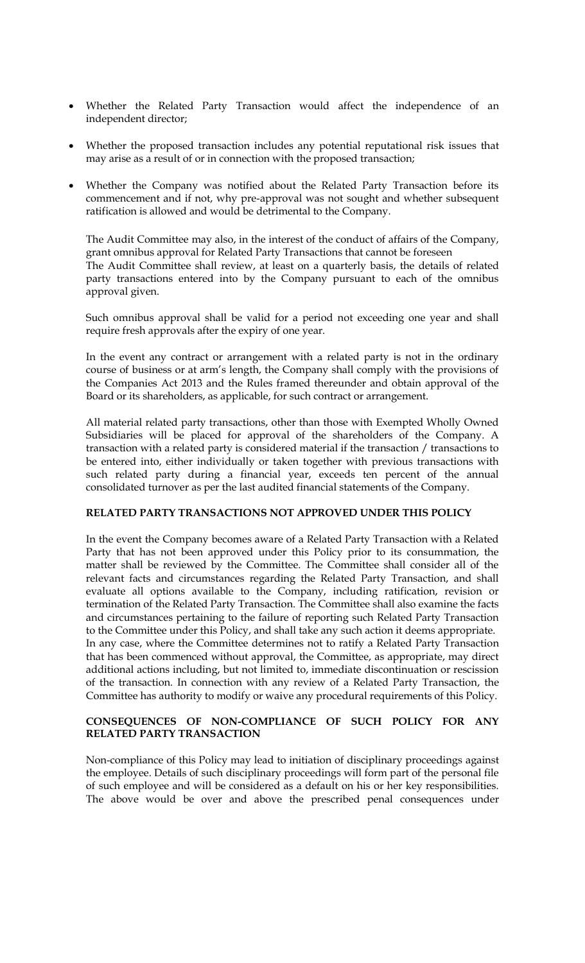- Whether the Related Party Transaction would affect the independence of an independent director;
- Whether the proposed transaction includes any potential reputational risk issues that may arise as a result of or in connection with the proposed transaction;
- Whether the Company was notified about the Related Party Transaction before its commencement and if not, why pre-approval was not sought and whether subsequent ratification is allowed and would be detrimental to the Company.

The Audit Committee may also, in the interest of the conduct of affairs of the Company, grant omnibus approval for Related Party Transactions that cannot be foreseen The Audit Committee shall review, at least on a quarterly basis, the details of related party transactions entered into by the Company pursuant to each of the omnibus approval given.

Such omnibus approval shall be valid for a period not exceeding one year and shall require fresh approvals after the expiry of one year.

In the event any contract or arrangement with a related party is not in the ordinary course of business or at arm's length, the Company shall comply with the provisions of the Companies Act 2013 and the Rules framed thereunder and obtain approval of the Board or its shareholders, as applicable, for such contract or arrangement.

All material related party transactions, other than those with Exempted Wholly Owned Subsidiaries will be placed for approval of the shareholders of the Company. A transaction with a related party is considered material if the transaction / transactions to be entered into, either individually or taken together with previous transactions with such related party during a financial year, exceeds ten percent of the annual consolidated turnover as per the last audited financial statements of the Company.

### **RELATED PARTY TRANSACTIONS NOT APPROVED UNDER THIS POLICY**

In the event the Company becomes aware of a Related Party Transaction with a Related Party that has not been approved under this Policy prior to its consummation, the matter shall be reviewed by the Committee. The Committee shall consider all of the relevant facts and circumstances regarding the Related Party Transaction, and shall evaluate all options available to the Company, including ratification, revision or termination of the Related Party Transaction. The Committee shall also examine the facts and circumstances pertaining to the failure of reporting such Related Party Transaction to the Committee under this Policy, and shall take any such action it deems appropriate. In any case, where the Committee determines not to ratify a Related Party Transaction that has been commenced without approval, the Committee, as appropriate, may direct additional actions including, but not limited to, immediate discontinuation or rescission of the transaction. In connection with any review of a Related Party Transaction, the Committee has authority to modify or waive any procedural requirements of this Policy.

# **CONSEQUENCES OF NON-COMPLIANCE OF SUCH POLICY FOR ANY RELATED PARTY TRANSACTION**

Non-compliance of this Policy may lead to initiation of disciplinary proceedings against the employee. Details of such disciplinary proceedings will form part of the personal file of such employee and will be considered as a default on his or her key responsibilities. The above would be over and above the prescribed penal consequences under